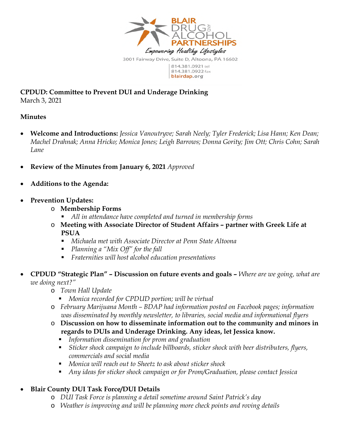

**CPDUD: Committee to Prevent DUI and Underage Drinking**  March 3, 2021

## **Minutes**

- **Welcome and Introductions:** *Jessica Vanoutryve; Sarah Neely; Tyler Frederick; Lisa Hann; Ken Dean; Machel Drahnak; Anna Hricko; Monica Jones; Leigh Barrows; Donna Gority; Jim Ott; Chris Cohn; Sarah Lane*
- **Review of the Minutes from January 6, 2021** *Approved*
- **Additions to the Agenda:**
- **Prevention Updates:** 
	- o **Membership Forms** 
		- *All in attendance have completed and turned in membership forms*
	- o **Meeting with Associate Director of Student Affairs partner with Greek Life at PSUA** 
		- *Michaela met with Associate Director at Penn State Altoona*
		- *Planning a "Mix Off" for the fall*
		- *Fraternities will host alcohol education presentations*
- **CPDUD "Strategic Plan" Discussion on future events and goals** *Where are we going, what are we doing next?"* 
	- o *Town Hall Update* 
		- *Monica recorded for CPDUD portion; will be virtual*
	- o *February Marijuana Month BDAP had information posted on Facebook pages; information was disseminated by monthly newsletter, to libraries, social media and informational flyers*
	- o **Discussion on how to disseminate information out to the community and minors in regards to DUIs and Underage Drinking. Any ideas, let Jessica know.** 
		- *Information dissemination for prom and graduation*
		- *Sticker shock campaign to include billboards, sticker shock with beer distributers, flyers, commercials and social media*
		- *Monica will reach out to Sheetz to ask about sticker shock*
		- *Any ideas for sticker shock campaign or for Prom/Graduation, please contact Jessica*

## **Blair County DUI Task Force/DUI Details**

- o *DUI Task Force is planning a detail sometime around Saint Patrick's day*
- o *Weather is improving and will be planning more check points and roving details*